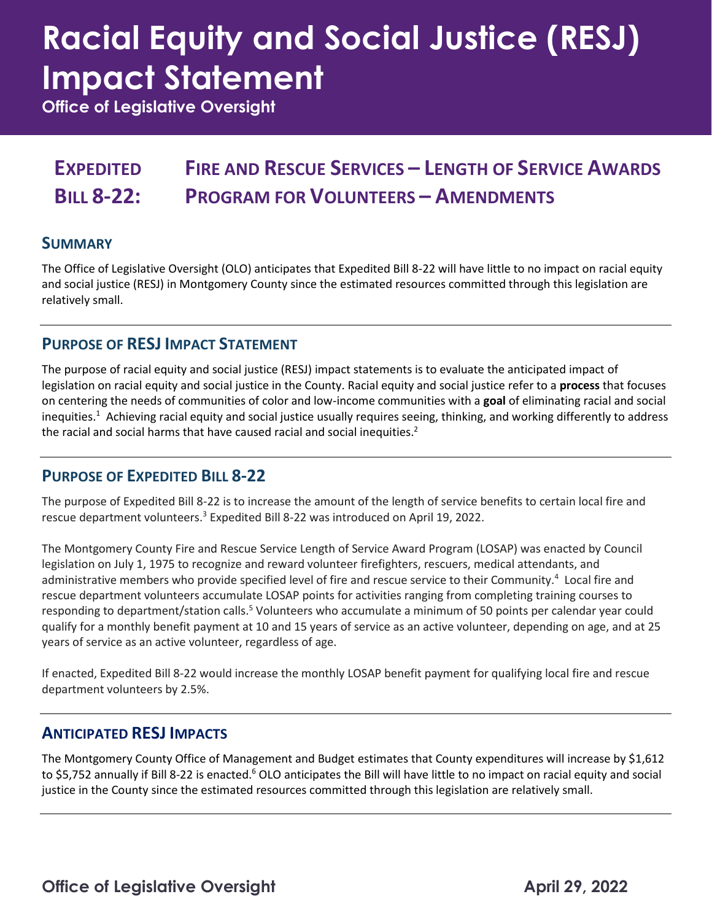# **Racial Equity and Social Justice (RESJ) Impact Statement**

**Office of Legislative Oversight**

#### **EXPEDITED BILL 8-22: FIRE AND RESCUE SERVICES – LENGTH OF SERVICE AWARDS PROGRAM FOR VOLUNTEERS – AMENDMENTS**

#### **SUMMARY**

The Office of Legislative Oversight (OLO) anticipates that Expedited Bill 8-22 will have little to no impact on racial equity and social justice (RESJ) in Montgomery County since the estimated resources committed through this legislation are relatively small.

#### **PURPOSE OF RESJ IMPACT STATEMENT**

The purpose of racial equity and social justice (RESJ) impact statements is to evaluate the anticipated impact of legislation on racial equity and social justice in the County. Racial equity and social justice refer to a **process** that focuses on centering the needs of communities of color and low-income communities with a **goal** of eliminating racial and social inequities.<sup>1</sup> Achieving racial equity and social justice usually requires seeing, thinking, and working differently to address the racial and social harms that have caused racial and social inequities.<sup>2</sup>

#### **PURPOSE OF EXPEDITED BILL 8-22**

The purpose of Expedited Bill 8-22 is to increase the amount of the length of service benefits to certain local fire and rescue department volunteers.<sup>3</sup> Expedited Bill 8-22 was introduced on April 19, 2022.

The Montgomery County Fire and Rescue Service Length of Service Award Program (LOSAP) was enacted by Council legislation on July 1, 1975 to recognize and reward volunteer firefighters, rescuers, medical attendants, and administrative members who provide specified level of fire and rescue service to their Community.<sup>4</sup> Local fire and rescue department volunteers accumulate LOSAP points for activities ranging from completing training courses to responding to department/station calls.<sup>5</sup> Volunteers who accumulate a minimum of 50 points per calendar year could qualify for a monthly benefit payment at 10 and 15 years of service as an active volunteer, depending on age, and at 25 years of service as an active volunteer, regardless of age.

If enacted, Expedited Bill 8-22 would increase the monthly LOSAP benefit payment for qualifying local fire and rescue department volunteers by 2.5%.

#### **ANTICIPATED RESJ IMPACTS**

The Montgomery County Office of Management and Budget estimates that County expenditures will increase by \$1,612 to \$5,752 annually if Bill 8-22 is enacted.<sup>6</sup> OLO anticipates the Bill will have little to no impact on racial equity and social justice in the County since the estimated resources committed through this legislation are relatively small.